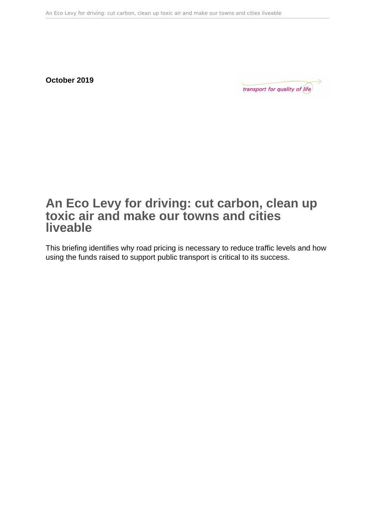**October 2019**

transport for quality of (ife)

# **An Eco Levy for driving: cut carbon, clean up toxic air and make our towns and cities liveable**

This briefing identifies why road pricing is necessary to reduce traffic levels and how using the funds raised to support public transport is critical to its success.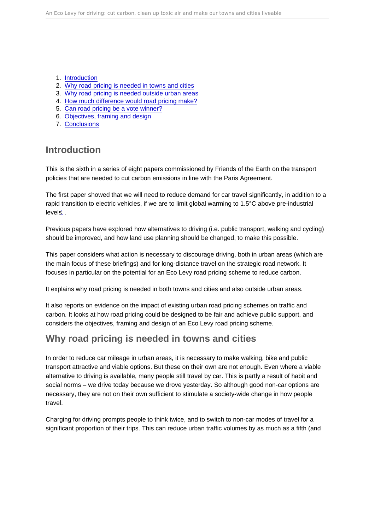- <span id="page-1-0"></span>1. Introduction
- 2. Why road pricing is needed in towns and cities
- 3. [Why road pricing is needed outside urban areas](#page-3-0)
- 4. [How much difference would road pricing make?](#page-4-0)
- 5. [Can road pricing be a vote winner?](#page-7-0)
- 6. [Objectives, framing and design](#page-9-0)
- 7. [Conclusions](#page-11-0)

## Introduction

This is the sixth in a series of eight papers commissioned by Friends of the Earth on the transport policies that are needed to cut carbon emissions in line with the Paris Agreement.

The first paper showed that we will need to reduce demand for car travel significantly, in addition to a rapid transition to electric vehicles, if we are to limit global warming to 1.5°C above pre-industrial levels[1](#page-13-0) .

Previous papers have explored how alternatives to driving (i.e. public transport, walking and cycling) should be improved, and how land use planning should be changed, to make this possible.

This paper considers what action is necessary to discourage driving, both in urban areas (which are the main focus of these briefings) and for long-distance travel on the strategic road network. It focuses in particular on the potential for an Eco Levy road pricing scheme to reduce carbon.

It explains why road pricing is needed in both towns and cities and also outside urban areas.

It also reports on evidence on the impact of existing urban road pricing schemes on traffic and carbon. It looks at how road pricing could be designed to be fair and achieve public support, and considers the objectives, framing and design of an Eco Levy road pricing scheme.

## Why road pricing is needed in towns and cities

In order to reduce car mileage in urban areas, it is necessary to make walking, bike and public transport attractive and viable options. But these on their own are not enough. Even where a viable alternative to driving is available, many people still travel by car. This is partly a result of habit and social norms – we drive today because we drove yesterday. So although good non-car options are necessary, they are not on their own sufficient to stimulate a society-wide change in how people travel.

Charging for driving prompts people to think twice, and to switch to non-car modes of travel for a significant proportion of their trips. This can reduce urban traffic volumes by as much as a fifth (and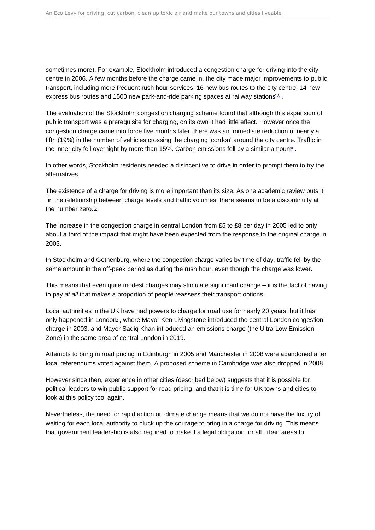<span id="page-2-0"></span>sometimes more). For example, Stockholm introduced a congestion charge for driving into the city centre in 2006. A few months before the charge came in, the city made major improvements to public transport, including more frequent rush hour services, 16 new bus routes to the city centre, 14 new express bus routes and 1500 new park-and-ride parking spaces at railway stations<sup>[2](#page-13-0)[3](#page-13-0)</sup>.

The evaluation of the Stockholm congestion charging scheme found that although this expansion of public transport was a prerequisite for charging, on its own it had little effect. However once the congestion charge came into force five months later, there was an immediate reduction of nearly a fifth (19%) in the number of vehicles crossing the charging 'cordon' around the city centre. Traffic in the inner city fell overnight by more than 15%. Carbon emissions fell by a similar amount.

In other words, Stockholm residents needed a disincentive to drive in order to prompt them to try the alternatives.

The existence of a charge for driving is more important than its size. As one academic review puts it: "in the relationship between charge levels and traffic volumes, there seems to be a discontinuity at the number zero."[5](#page-13-0)

The increase in the congestion charge in central London from £5 to £8 per day in 2005 led to only about a third of the impact that might have been expected from the response to the original charge in 2003.

In Stockholm and Gothenburg, where the congestion charge varies by time of day, traffic fell by the same amount in the off-peak period as during the rush hour, even though the charge was lower.

This means that even quite modest charges may stimulate significant change – it is the fact of having to pay at all that makes a proportion of people reassess their transport options.

Local authorities in the UK have had powers to charge for road use for nearly 20 years, but it has only happened in Londor<sup>[6](#page-13-0)</sup>, where Mayor Ken Livingstone introduced the central London congestion charge in 2003, and Mayor Sadiq Khan introduced an emissions charge (the Ultra-Low Emission Zone) in the same area of central London in 2019.

Attempts to bring in road pricing in Edinburgh in 2005 and Manchester in 2008 were abandoned after local referendums voted against them. A proposed scheme in Cambridge was also dropped in 2008.

However since then, experience in other cities (described below) suggests that it is possible for political leaders to win public support for road pricing, and that it is time for UK towns and cities to look at this policy tool again.

Nevertheless, the need for rapid action on climate change means that we do not have the luxury of waiting for each local authority to pluck up the courage to bring in a charge for driving. This means that government leadership is also required to make it a legal obligation for all urban areas to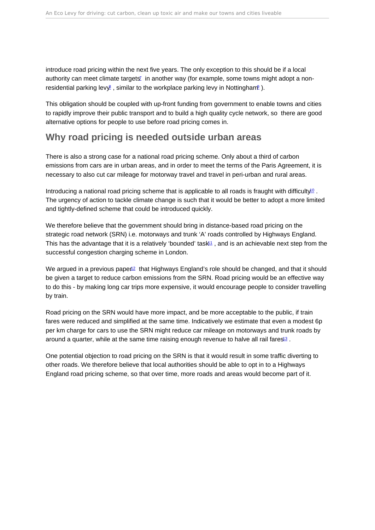<span id="page-3-0"></span>introduce road pricing within the next five years. The only exception to this should be if a local authority can meet climate targets<sup>[7](#page-13-0)</sup> in another way (for example, some towns might adopt a nonresidential parking lev $\ell$ , similar to the workplace parking levy in Nottingham<sup>e</sup>).

This obligation should be coupled with up-front funding from government to enable towns and cities to rapidly improve their public transport and to build a high quality cycle network, so there are good alternative options for people to use before road pricing comes in.

### Why road pricing is needed outside urban areas

There is also a strong case for a national road pricing scheme. Only about a third of carbon emissions from cars are in urban areas, and in order to meet the terms of the Paris Agreement, it is necessary to also cut car mileage for motorway travel and travel in peri-urban and rural areas.

Introducing a national road pricing scheme that is applicable to all roads is fraught with difficulty<sup>0</sup>. The urgency of action to tackle climate change is such that it would be better to adopt a more limited and tightly-defined scheme that could be introduced quickly.

We therefore believe that the government should bring in distance-based road pricing on the strategic road network (SRN) i.e. motorways and trunk 'A' roads controlled by Highways England. This has the advantage that it is a relatively 'bounded' task<sup>1</sup>, and is an achievable next step from the successful congestion charging scheme in London.

We argued in a previous paper<sup>[12](#page-13-0)</sup> that Highways England's role should be changed, and that it should be given a target to reduce carbon emissions from the SRN. Road pricing would be an effective way to do this - by making long car trips more expensive, it would encourage people to consider travelling by train.

Road pricing on the SRN would have more impact, and be more acceptable to the public, if train fares were reduced and simplified at the same time. Indicatively we estimate that even a modest 6p per km charge for cars to use the SRN might reduce car mileage on motorways and trunk roads by around a quarter, while at the same time raising enough revenue to halve all rail fares<sup>13</sup>.

One potential objection to road pricing on the SRN is that it would result in some traffic diverting to other roads. We therefore believe that local authorities should be able to opt in to a Highways England road pricing scheme, so that over time, more roads and areas would become part of it.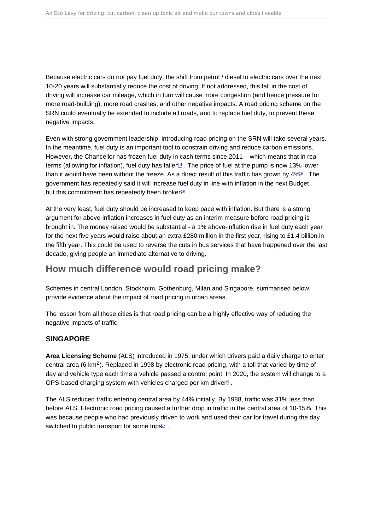<span id="page-4-0"></span>Because electric cars do not pay fuel duty, the shift from petrol / diesel to electric cars over the next 10-20 years will substantially reduce the cost of driving. If not addressed, this fall in the cost of driving will increase car mileage, which in turn will cause more congestion (and hence pressure for more road-building), more road crashes, and other negative impacts. A road pricing scheme on the SRN could eventually be extended to include all roads, and to replace fuel duty, to prevent these negative impacts.

Even with strong government leadership, introducing road pricing on the SRN will take several years. In the meantime, fuel duty is an important tool to constrain driving and reduce carbon emissions. However, the Chancellor has frozen fuel duty in cash terms since 2011 – which means that in real terms (allowing for inflation), fuel duty has fallen<sup>[14](#page-14-0)</sup>. The price of fuel at the pump is now 13% lower than it would have been without the freeze. As a direct result of this traffic has grown by 4%[15](#page-14-0) . The government has repeatedly said it will increase fuel duty in line with inflation in the next Budget but this commitment has repeatedly been broken<sup>[16](#page-14-0)</sup>.

At the very least, fuel duty should be increased to keep pace with inflation. But there is a strong argument for above-inflation increases in fuel duty as an interim measure before road pricing is brought in. The money raised would be substantial - a 1% above-inflation rise in fuel duty each year for the next five years would raise about an extra £280 million in the first year, rising to £1.4 billion in the fifth year. This could be used to reverse the cuts in bus services that have happened over the last decade, giving people an immediate alternative to driving.

## How much difference would road pricing make?

Schemes in central London, Stockholm, Gothenburg, Milan and Singapore, summarised below, provide evidence about the impact of road pricing in urban areas.

The lesson from all these cities is that road pricing can be a highly effective way of reducing the negative impacts of traffic.

#### **SINGAPORE**

Area Licensing Scheme (ALS) introduced in 1975, under which drivers paid a daily charge to enter central area (6 km<sup>2</sup>). Replaced in 1998 by electronic road pricing, with a toll that varied by time of day and vehicle type each time a vehicle passed a control point. In 2020, the system will change to a GPS-based charging system with vehicles charged per km driver<sup>[5](#page-13-0)</sup>.

The ALS reduced traffic entering central area by 44% initially. By 1988, traffic was 31% less than before ALS. Electronic road pricing caused a further drop in traffic in the central area of 10-15%. This was because people who had previously driven to work and used their car for travel during the day switched to public transport for some trips<sup>[17](#page-14-0)</sup>.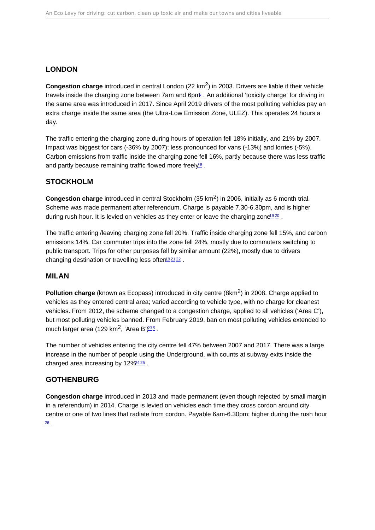#### <span id="page-5-0"></span>LONDON

Congestion charge introduced in central London (22  $km^2$ ) in 2003. Drivers are liable if their vehicle travels inside the charging zone between 7am and 6pm[5](#page-13-0) . An additional 'toxicity charge' for driving in the same area was introduced in 2017. Since April 2019 drivers of the most polluting vehicles pay an extra charge inside the same area (the Ultra-Low Emission Zone, ULEZ). This operates 24 hours a day.

The traffic entering the charging zone during hours of operation fell 18% initially, and 21% by 2007. Impact was biggest for cars (-36% by 2007); less pronounced for vans (-13%) and lorries (-5%). Carbon emissions from traffic inside the charging zone fell 16%, partly because there was less traffic and partly because remaining traffic flowed more freely<sup>[18](#page-14-0)</sup>.

#### **STOCKHOLM**

Congestion charge introduced in central Stockholm (35 km<sup>2</sup>) in 2006, initially as 6 month trial. Scheme was made permanent after referendum. Charge is payable 7.30-6.30pm, and is higher during rush hour. It is levied on vehicles as they enter or leave the charging zone<sup>[19](#page-14-0)[20](#page-14-0)</sup>.

The traffic entering /leaving charging zone fell 20%. Traffic inside charging zone fell 15%, and carbon emissions 14%. Car commuter trips into the zone fell 24%, mostly due to commuters switching to public transport. Trips for other purposes fell by similar amount (22%), mostly due to drivers changing destination or travelling less often<sup>[19](#page-14-0)[21](#page-14-0)[22](#page-14-0)</sup>.

#### MILAN

Pollution charge (known as Ecopass) introduced in city centre (8km<sup>2</sup>) in 2008. Charge applied to vehicles as they entered central area; varied according to vehicle type, with no charge for cleanest vehicles. From 2012, the scheme changed to a congestion charge, applied to all vehicles ('Area C'), but most polluting vehicles banned. From February 2019, ban on most polluting vehicles extended to much larger area (129 km<sup>2</sup>, 'Area B' $\frac{235}{2}$  $\frac{235}{2}$  $\frac{235}{2}$  $\frac{235}{2}$ .

The number of vehicles entering the city centre fell 47% between 2007 and 2017. There was a large increase in the number of people using the Underground, with counts at subway exits inside the charged area increasing by 12% [24](#page-14-0).[25](#page-14-0).

#### GOTHENBURG

Congestion charge introduced in 2013 and made permanent (even though rejected by small margin in a referendum) in 2014. Charge is levied on vehicles each time they cross cordon around city centre or one of two lines that radiate from cordon. Payable 6am-6.30pm; higher during the rush hour  $\overline{26}$  $\overline{26}$  $\overline{26}$  .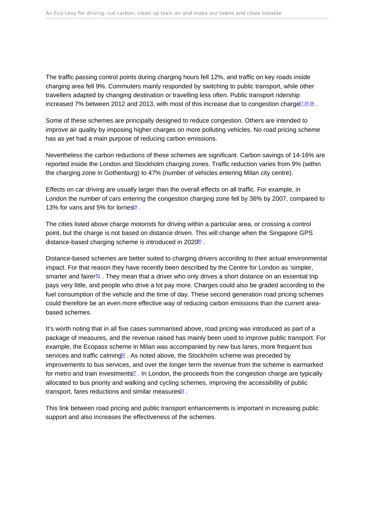<span id="page-6-0"></span>The traffic passing control points during charging hours fell 12%, and traffic on key roads inside charging area fell 9%. Commuters mainly responded by switching to public transport, while other travellers adapted by changing destination or travelling less often. Public transport ridership increased 7% between 2012 and 2013, with most of this increase due to congestion charge  $272628$  $272628$  $272628$ 

Some of these schemes are principally designed to reduce congestion. Others are intended to improve air quality by imposing higher charges on more polluting vehicles. No road pricing scheme has as yet had a main purpose of reducing carbon emissions.

Nevertheless the carbon reductions of these schemes are significant. Carbon savings of 14-16% are reported inside the London and Stockholm charging zones. Traffic reduction varies from 9% (within the charging zone in Gothenburg) to 47% (number of vehicles entering Milan city centre).

Effects on car driving are usually larger than the overall effects on all traffic. For example, in London the number of cars entering the congestion charging zone fell by 36% by 2007, compared to 13% for vans and 5% for lorries<sup>[29](#page-14-0)</sup>

The cities listed above charge motorists for driving within a particular area, or crossing a control point, but the charge is not based on distance driven. This will change when the Singapore GPS distance-based charging scheme is introduced in 2020<sup>80</sup>.

Distance-based schemes are better suited to charging drivers according to their actual environmental impact. For that reason they have recently been described by the Centre for London as 'simpler, smarter and fairer $31$ . They mean that a driver who only drives a short distance on an essential trip pays very little, and people who drive a lot pay more. Charges could also be graded according to the fuel consumption of the vehicle and the time of day. These second generation road pricing schemes could therefore be an even more effective way of reducing carbon emissions than the current areabased schemes.

It's worth noting that in all five cases summarised above, road pricing was introduced as part of a package of measures, and the revenue raised has mainly been used to improve public transport. For example, the Ecopass scheme in Milan was accompanied by new bus lanes, more frequent bus services and traffic calming<sup>2</sup>. As noted above, the Stockholm scheme was preceded by improvements to bus services, and over the longer term the revenue from the scheme is earmarked for metro and train investments $27$ . In London, the proceeds from the congestion charge are typically allocated to bus priority and walking and cycling schemes, improving the accessibility of public transport, fares reductions and similar measures<sup>[33](#page-15-0)</sup>.

This link between road pricing and public transport enhancements is important in increasing public support and also increases the effectiveness of the schemes.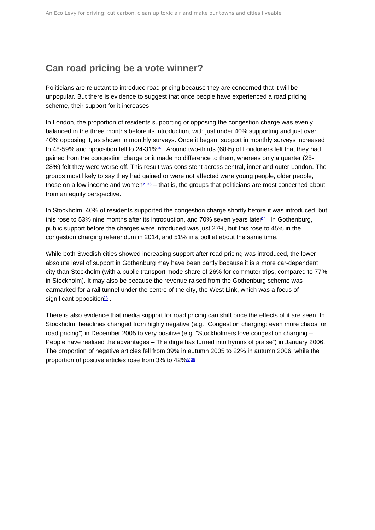## <span id="page-7-0"></span>Can road pricing be a vote winner?

Politicians are reluctant to introduce road pricing because they are concerned that it will be unpopular. But there is evidence to suggest that once people have experienced a road pricing scheme, their support for it increases.

In London, the proportion of residents supporting or opposing the congestion charge was evenly balanced in the three months before its introduction, with just under 40% supporting and just over 40% opposing it, as shown in monthly surveys. Once it began, support in monthly surveys increased to 48-59% and opposition fell to 24-31%<sup>[34](#page-15-0)</sup>. Around two-thirds (68%) of Londoners felt that they had gained from the congestion charge or it made no difference to them, whereas only a quarter (25- 28%) felt they were worse off. This result was consistent across central, inner and outer London. The groups most likely to say they had gained or were not affected were young people, older people, those on a low income and women<sup>[35](#page-15-0) [36](#page-15-0)</sup> – that is, the groups that politicians are most concerned about from an equity perspective.

In Stockholm, 40% of residents supported the congestion charge shortly before it was introduced, but this rose to 53% nine months after its introduction, and 70% seven years late $\mathbb{Z}^7$ . In Gothenburg, public support before the charges were introduced was just 27%, but this rose to 45% in the congestion charging referendum in 2014, and 51% in a poll at about the same time.

While both Swedish cities showed increasing support after road pricing was introduced, the lower absolute level of support in Gothenburg may have been partly because it is a more car-dependent city than Stockholm (with a public transport mode share of 26% for commuter trips, compared to 77% in Stockholm). It may also be because the revenue raised from the Gothenburg scheme was earmarked for a rail tunnel under the centre of the city, the West Link, which was a focus of significant opposition<sup>[26](#page-14-0)</sup>.

There is also evidence that media support for road pricing can shift once the effects of it are seen. In Stockholm, headlines changed from highly negative (e.g. "Congestion charging: even more chaos for road pricing") in December 2005 to very positive (e.g. "Stockholmers love congestion charging – People have realised the advantages – The dirge has turned into hymns of praise") in January 2006. The proportion of negative articles fell from 39% in autumn 2005 to 22% in autumn 2006, while the proportion of positive articles rose from 3% to 42%[37](#page-15-0) [38](#page-15-0) .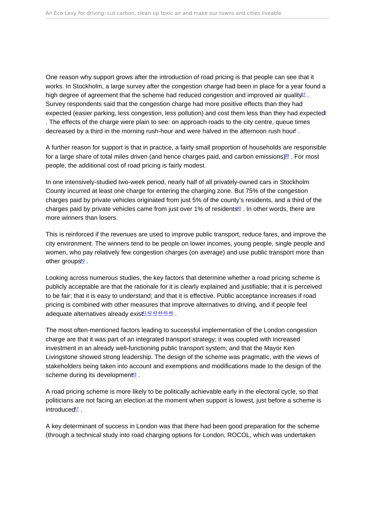<span id="page-8-0"></span>One reason why support grows after the introduction of road pricing is that people can see that it works. In Stockholm, a large survey after the congestion charge had been in place for a year found a high degree of agreement that the scheme had reduced congestion and improved air quality  $\frac{37}{10}$  $\frac{37}{10}$  $\frac{37}{10}$ Survey respondents said that the congestion charge had more positive effects than they had expected (easier parking, less congestion, less pollution) and cost them less than they had expected<sup>[3](#page-13-0)</sup> . The effects of the charge were plain to see: on approach roads to the city centre, queue times decreased by a third in the morning rush-hour and were halved in the afternoon rush hour.

A further reason for support is that in practice, a fairly small proportion of households are responsible for a large share of total miles driven (and hence charges paid, and carbon emissions)<sup>38</sup>. For most people, the additional cost of road pricing is fairly modest.

In one intensively-studied two-week period, nearly half of all privately-owned cars in Stockholm County incurred at least one charge for entering the charging zone. But 75% of the congestion charges paid by private vehicles originated from just 5% of the county's residents, and a third of the charges paid by private vehicles came from just over 1% of residents<sup>[40](#page-15-0)</sup>. In other words, there are more winners than losers.

This is reinforced if the revenues are used to improve public transport, reduce fares, and improve the city environment. The winners tend to be people on lower incomes, young people, single people and women, who pay relatively few congestion charges (on average) and use public transport more than other groups $40$ .

Looking across numerous studies, the key factors that determine whether a road pricing scheme is publicly acceptable are that the rationale for it is clearly explained and justifiable; that it is perceived to be fair; that it is easy to understand; and that it is effective. Public acceptance increases if road pricing is combined with other measures that improve alternatives to driving, and if people feel adequate alternatives already exis<sup>[41](#page-15-0)</sup> [42](#page-15-0) [43](#page-15-0) [44](#page-15-0) [45](#page-15-0) [46](#page-15-0).

The most often-mentioned factors leading to successful implementation of the London congestion charge are that it was part of an integrated transport strategy; it was coupled with increased investment in an already well-functioning public transport system; and that the Mayor Ken Livingstone showed strong leadership. The design of the scheme was pragmatic, with the views of stakeholders being taken into account and exemptions and modifications made to the design of the scheme during its development<sup>[43](#page-15-0)</sup>.

A road pricing scheme is more likely to be politically achievable early in the electoral cycle, so that politicians are not facing an election at the moment when support is lowest, just before a scheme is introduced<sup>[47](#page-15-0)</sup>

A key determinant of success in London was that there had been good preparation for the scheme (through a technical study into road charging options for London, ROCOL, which was undertaken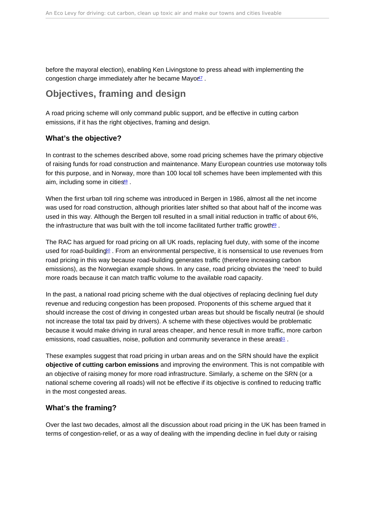<span id="page-9-0"></span>before the mayoral election), enabling Ken Livingstone to press ahead with implementing the congestion charge immediately after he became Mayo<sup>[47](#page-15-0)</sup>.

## Objectives, framing and design

A road pricing scheme will only command public support, and be effective in cutting carbon emissions, if it has the right objectives, framing and design.

#### What's the objective?

In contrast to the schemes described above, some road pricing schemes have the primary objective of raising funds for road construction and maintenance. Many European countries use motorway tolls for this purpose, and in Norway, more than 100 local toll schemes have been implemented with this aim, including some in cities<sup>[48](#page-15-0)</sup>.

When the first urban toll ring scheme was introduced in Bergen in 1986, almost all the net income was used for road construction, although priorities later shifted so that about half of the income was used in this way. Although the Bergen toll resulted in a small initial reduction in traffic of about 6%, the infrastructure that was built with the toll income facilitated further traffic growth<sup>19</sup>.

The RAC has argued for road pricing on all UK roads, replacing fuel duty, with some of the income used for road-building<sup>60</sup>. From an environmental perspective, it is nonsensical to use revenues from road pricing in this way because road-building generates traffic (therefore increasing carbon emissions), as the Norwegian example shows. In any case, road pricing obviates the 'need' to build more roads because it can match traffic volume to the available road capacity.

In the past, a national road pricing scheme with the dual objectives of replacing declining fuel duty revenue and reducing congestion has been proposed. Proponents of this scheme argued that it should increase the cost of driving in congested urban areas but should be fiscally neutral (ie should not increase the total tax paid by drivers). A scheme with these objectives would be problematic because it would make driving in rural areas cheaper, and hence result in more traffic, more carbon emissions, road casualties, noise, pollution and community severance in these areas<sup>1</sup>.

These examples suggest that road pricing in urban areas and on the SRN should have the explicit objective of cutting carbon emissions and improving the environment. This is not compatible with an objective of raising money for more road infrastructure. Similarly, a scheme on the SRN (or a national scheme covering all roads) will not be effective if its objective is confined to reducing traffic in the most congested areas.

#### What's the framing?

Over the last two decades, almost all the discussion about road pricing in the UK has been framed in terms of congestion-relief, or as a way of dealing with the impending decline in fuel duty or raising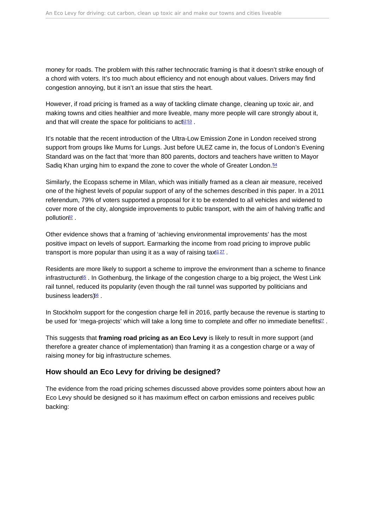<span id="page-10-0"></span>money for roads. The problem with this rather technocratic framing is that it doesn't strike enough of a chord with voters. It's too much about efficiency and not enough about values. Drivers may find congestion annoying, but it isn't an issue that stirs the heart.

However, if road pricing is framed as a way of tackling climate change, cleaning up toxic air, and making towns and cities healthier and more liveable, many more people will care strongly about it, and that will create the space for politicians to  $ac6253$ .

It's notable that the recent introduction of the Ultra-Low Emission Zone in London received strong support from groups like Mums for Lungs. Just before ULEZ came in, the focus of London's Evening Standard was on the fact that 'more than 800 parents, doctors and teachers have written to Mayor Sadiq Khan urging him to expand the zone to cover the whole of Greater London.<sup>[54](#page-16-0)</sup>

Similarly, the Ecopass scheme in Milan, which was initially framed as a clean air measure, received one of the highest levels of popular support of any of the schemes described in this paper. In a 2011 referendum, 79% of voters supported a proposal for it to be extended to all vehicles and widened to cover more of the city, alongside improvements to public transport, with the aim of halving traffic and pollution[32](#page-15-0) .

Other evidence shows that a framing of 'achieving environmental improvements' has the most positive impact on levels of support. Earmarking the income from road pricing to improve public transport is more popular than using it as a way of raising  $\text{tax}^{41\,27}$  $\text{tax}^{41\,27}$  $\text{tax}^{41\,27}$  $\text{tax}^{41\,27}$  $\text{tax}^{41\,27}$ .

Residents are more likely to support a scheme to improve the environment than a scheme to finance infrastructure<sup>[55](#page-16-0)</sup>. In Gothenburg, the linkage of the congestion charge to a big project, the West Link rail tunnel, reduced its popularity (even though the rail tunnel was supported by politicians and business leaders)<sup>[56](#page-16-0)</sup>.

In Stockholm support for the congestion charge fell in 2016, partly because the revenue is starting to be used for 'mega-projects' which will take a long time to complete and offer no immediate benefits<sup>[27](#page-14-0)</sup>.

This suggests that framing road pricing as an Eco Levy is likely to result in more support (and therefore a greater chance of implementation) than framing it as a congestion charge or a way of raising money for big infrastructure schemes.

#### How should an Eco Levy for driving be designed?

The evidence from the road pricing schemes discussed above provides some pointers about how an Eco Levy should be designed so it has maximum effect on carbon emissions and receives public backing: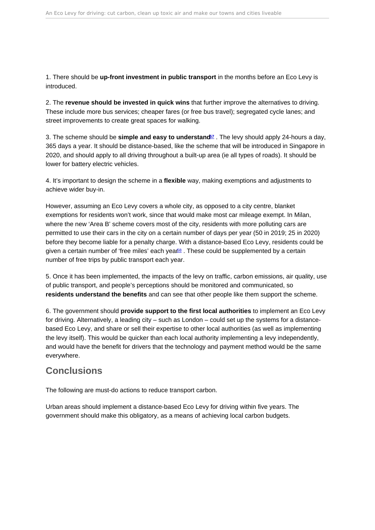<span id="page-11-0"></span>1. There should be up-front investment in public transport in the months before an Eco Levy is introduced.

2. The revenue should be invested in quick wins that further improve the alternatives to driving. These include more bus services; cheaper fares (or free bus travel); segregated cycle lanes; and street improvements to create great spaces for walking.

3. The scheme should be simple and easy to understand  $57$ . The levy should apply 24-hours a day, 365 days a year. It should be distance-based, like the scheme that will be introduced in Singapore in 2020, and should apply to all driving throughout a built-up area (ie all types of roads). It should be lower for battery electric vehicles.

4. It's important to design the scheme in a flexible way, making exemptions and adjustments to achieve wider buy-in.

However, assuming an Eco Levy covers a whole city, as opposed to a city centre, blanket exemptions for residents won't work, since that would make most car mileage exempt. In Milan, where the new 'Area B' scheme covers most of the city, residents with more polluting cars are permitted to use their cars in the city on a certain number of days per year (50 in 2019; 25 in 2020) before they become liable for a penalty charge. With a distance-based Eco Levy, residents could be given a certain number of 'free miles' each yea<sup>68</sup>. These could be supplemented by a certain number of free trips by public transport each year.

5. Once it has been implemented, the impacts of the levy on traffic, carbon emissions, air quality, use of public transport, and people's perceptions should be monitored and communicated, so residents understand the benefits and can see that other people like them support the scheme.

6. The government should provide support to the first local authorities to implement an Eco Levy for driving. Alternatively, a leading city – such as London – could set up the systems for a distancebased Eco Levy, and share or sell their expertise to other local authorities (as well as implementing the levy itself). This would be quicker than each local authority implementing a levy independently, and would have the benefit for drivers that the technology and payment method would be the same everywhere.

## **Conclusions**

The following are must-do actions to reduce transport carbon.

Urban areas should implement a distance-based Eco Levy for driving within five years. The government should make this obligatory, as a means of achieving local carbon budgets.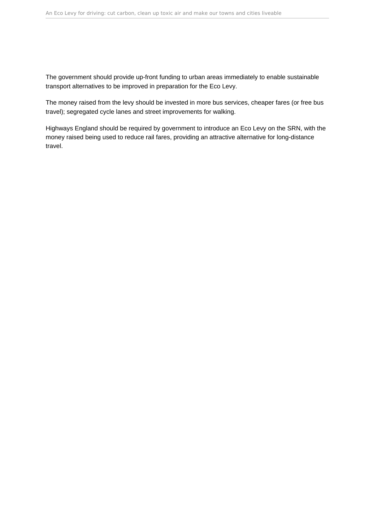The government should provide up-front funding to urban areas immediately to enable sustainable transport alternatives to be improved in preparation for the Eco Levy.

The money raised from the levy should be invested in more bus services, cheaper fares (or free bus travel); segregated cycle lanes and street improvements for walking.

Highways England should be required by government to introduce an Eco Levy on the SRN, with the money raised being used to reduce rail fares, providing an attractive alternative for long-distance travel.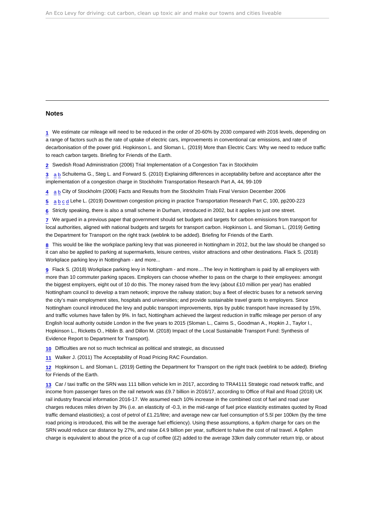#### <span id="page-13-0"></span>Notes

[1](#page-1-0) We estimate car mileage will need to be reduced in the order of 20-60% by 2030 compared with 2016 levels, depending on a range of factors such as the rate of uptake of electric cars, improvements in conventional car emissions, and rate of decarbonisation of the power grid. Hopkinson L. and Sloman L. (2019) More than Electric Cars: Why we need to reduce traffic to reach carbon targets. Briefing for Friends of the Earth.

[2](#page-2-0) Swedish Road Administration (2006) Trial Implementation of a Congestion Tax in Stockholm

[3](#page-2-0) [a](#page-2-0) [b](#page-8-0) Schuitema G., Steg L. and Forward S. (2010) Explaining differences in acceptability before and acceptance after the implementation of a congestion charge in Stockholm Transportation Research Part A, 44, 99-109

[4](#page-2-0) [a](#page-2-0) [b](#page-8-0) City of Stockholm (2006) Facts and Results from the Stockholm Trials Final Version December 2006

[5](#page-2-0) [a](#page-2-0) [b](#page-4-0) [c](#page-5-0) [d](#page-5-0) Lehe L. (2019) Downtown congestion pricing in practice Transportation Research Part C, 100, pp200-223

[6](#page-2-0) Strictly speaking, there is also a small scheme in Durham, introduced in 2002, but it applies to just one street.

[7](#page-3-0) We argued in a previous paper that government should set budgets and targets for carbon emissions from transport for local authorities, aligned with national budgets and targets for transport carbon. Hopkinson L. and Sloman L. (2019) Getting the Department for Transport on the right track (weblink to be added). Briefing for Friends of the Earth.

[8](#page-3-0) This would be like the workplace parking levy that was pioneered in Nottingham in 2012, but the law should be changed so it can also be applied to parking at supermarkets, leisure centres, visitor attractions and other destinations. Flack S. (2018) Workplace parking levy in Nottingham - and more...

[9](#page-3-0) Flack S. (2018) Workplace parking levy in Nottingham - and more....The levy in Nottingham is paid by all employers with more than 10 commuter parking spaces. Employers can choose whether to pass on the charge to their employees: amongst the biggest employers, eight out of 10 do this. The money raised from the levy (about £10 million per year) has enabled Nottingham council to develop a tram network; improve the railway station; buy a fleet of electric buses for a network serving the city's main employment sites, hospitals and universities; and provide sustainable travel grants to employers. Since Nottingham council introduced the levy and public transport improvements, trips by public transport have increased by 15%, and traffic volumes have fallen by 9%. In fact, Nottingham achieved the largest reduction in traffic mileage per person of any English local authority outside London in the five years to 2015 (Sloman L., Cairns S., Goodman A., Hopkin J., Taylor I., Hopkinson L., Ricketts O., Hiblin B. and Dillon M. (2018) Impact of the Local Sustainable Transport Fund: Synthesis of Evidence Report to Department for Transport).

[10](#page-3-0) Difficulties are not so much technical as political and strategic, as discussed

[11](#page-3-0) Walker J. (2011) The Acceptability of Road Pricing RAC Foundation.

[12](#page-3-0) Hopkinson L. and Sloman L. (2019) Getting the Department for Transport on the right track (weblink to be added). Briefing for Friends of the Earth.

[13](#page-3-0) Car / taxi traffic on the SRN was 111 billion vehicle km in 2017, according to TRA4111 Strategic road network traffic, and income from passenger fares on the rail network was £9.7 billion in 2016/17, according to Office of Rail and Road (2018) UK rail industry financial information 2016-17. We assumed each 10% increase in the combined cost of fuel and road user charges reduces miles driven by 3% (i.e. an elasticity of -0.3, in the mid-range of fuel price elasticity estimates quoted by Road traffic demand elasticities); a cost of petrol of £1.21/litre; and average new car fuel consumption of 5.5l per 100km (by the time road pricing is introduced, this will be the average fuel efficiency). Using these assumptions, a 6p/km charge for cars on the SRN would reduce car distance by 27%, and raise £4.9 billion per year, sufficient to halve the cost of rail travel. A 6p/km charge is equivalent to about the price of a cup of coffee (£2) added to the average 33km daily commuter return trip, or about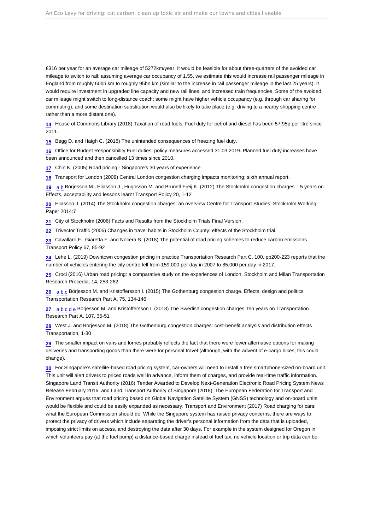<span id="page-14-0"></span>£316 per year for an average car mileage of 5272km/year. It would be feasible for about three-quarters of the avoided car mileage to switch to rail: assuming average car occupancy of 1.55, we estimate this would increase rail passenger mileage in England from roughly 60bn km to roughly 95bn km (similar to the increase in rail passenger mileage in the last 25 years). It would require investment in upgraded line capacity and new rail lines, and increased train frequencies. Some of the avoided car mileage might switch to long-distance coach; some might have higher vehicle occupancy (e.g. through car sharing for commuting); and some destination substitution would also be likely to take place (e.g. driving to a nearby shopping centre rather than a more distant one).

[14](#page-4-0) House of Commons Library (2018) Taxation of road fuels. Fuel duty for petrol and diesel has been 57.95p per litre since 2011.

[15](#page-4-0) Begg D. and Haigh C. (2018) The unintended consequences of freezing fuel duty.

[16](#page-4-0) Office for Budget Responsibility Fuel duties: policy measures accessed 31.03.2019. Planned fuel duty increases have been announced and then cancelled 13 times since 2010.

[17](#page-4-0) Chin K. (2005) Road pricing - Singapore's 30 years of experience

[18](#page-5-0) Transport for London (2008) Central London congestion charging impacts monitoring: sixth annual report.

[19](#page-5-0) [a](#page-5-0) [b](#page-5-0) Börjesson M., Eliasson J., Hugosson M. and Brunell-Freij K. (2012) The Stockholm congestion charges – 5 years on. Effects, acceptability and lessons learnt Transport Policy 20, 1-12

[20](#page-5-0) Eliasson J. (2014) The Stockholm congestion charges: an overview Centre for Transport Studies, Stockholm Working Paper 2014:7

[21](#page-5-0) City of Stockholm (2006) Facts and Results from the Stockholm Trials Final Version.

[22](#page-5-0) Trivector Traffic (2006) Changes in travel habits in Stockholm County: effects of the Stockholm trial.

[23](#page-5-0) Cavallaro F., Giaretta F. and Nocera S. (2018) The potential of road pricing schemes to reduce carbon emissions Transport Policy 67, 85-92

[24](#page-5-0) Lehe L. (2019) Downtown congestion pricing in practice Transportation Research Part C, 100, pp200-223 reports that the number of vehicles entering the city centre fell from 159,000 per day in 2007 to 85,000 per day in 2017.

[25](#page-5-0) Croci (2016) Urban road pricing: a comparative study on the experiences of London, Stockholm and Milan Transportation Research Procedia, 14, 253-262

[26](#page-5-0) [a](#page-5-0) [b](#page-6-0) [c](#page-7-0) Börjesson M. and Kristoffersson I. (2015) The Gothenburg congestion charge. Effects, design and politics Transportation Research Part A, 75, 134-146

[27](#page-6-0) [a](#page-6-0) [b](#page-6-0) [c](#page-7-0) [d](#page-10-0) [e](#page-10-0) Börjesson M. and Kristoffersson I. (2018) The Swedish congestion charges: ten years on Transportation Research Part A, 107, 35-51

[28](#page-6-0) West J. and Börjesson M. (2018) The Gothenburg congestion charges: cost-benefit analysis and distribution effects Transportation, 1-30

[29](#page-6-0) The smaller impact on vans and lorries probably reflects the fact that there were fewer alternative options for making deliveries and transporting goods than there were for personal travel (although, with the advent of e-cargo bikes, this could change).

[30](#page-6-0) For Singapore's satellite-based road pricing system, car-owners will need to install a free smartphone-sized on-board unit. This unit will alert drivers to priced roads well in advance, inform them of charges, and provide real-time traffic information. Singapore Land Transit Authority (2016) Tender Awarded to Develop Next-Generation Electronic Road Pricing System News Release February 2016, and Land Transport Authority of Singapore (2018). The European Federation for Transport and Environment argues that road pricing based on Global Navigation Satellite System (GNSS) technology and on-board units would be flexible and could be easily expanded as necessary. Transport and Environment (2017) Road charging for cars: what the European Commission should do. While the Singapore system has raised privacy concerns, there are ways to protect the privacy of drivers which include separating the driver's personal information from the data that is uploaded, imposing strict limits on access, and destroying the data after 30 days. For example in the system designed for Oregon in which volunteers pay (at the fuel pump) a distance-based charge instead of fuel tax, no vehicle location or trip data can be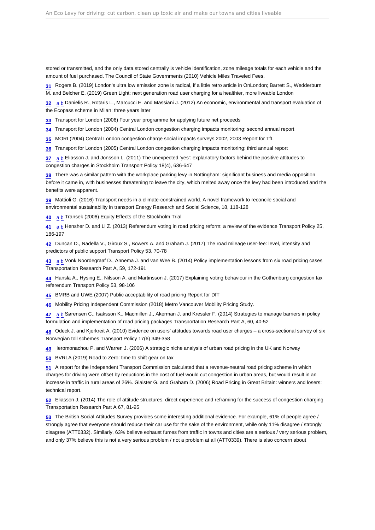<span id="page-15-0"></span>stored or transmitted, and the only data stored centrally is vehicle identification, zone mileage totals for each vehicle and the amount of fuel purchased. The Council of State Governments (2010) Vehicle Miles Traveled Fees.

[31](#page-6-0) Rogers B. (2019) London's ultra low emission zone is radical, if a little retro article in OnLondon; Barrett S., Wedderburn M. and Belcher E. (2019) Green Light: next generation road user charging for a healthier, more liveable London

[32](#page-6-0) [a](#page-6-0) [b](#page-10-0) Danielis R., Rotaris L., Marcucci E. and Massiani J. (2012) An economic, environmental and transport evaluation of the Ecopass scheme in Milan: three years later

[33](#page-6-0) Transport for London (2006) Four year programme for applying future net proceeds

[34](#page-7-0) Transport for London (2004) Central London congestion charging impacts monitoring: second annual report

[35](#page-7-0) MORI (2004) Central London congestion charge social impacts surveys 2002, 2003 Report for TfL

[36](#page-7-0) Transport for London (2005) Central London congestion charging impacts monitoring: third annual report

[37](#page-7-0) [a](#page-7-0) [b](#page-8-0) Eliasson J. and Jonsson L. (2011) The unexpected 'yes': explanatory factors behind the positive attitudes to congestion charges in Stockholm Transport Policy 18(4), 636-647

[38](#page-7-0) There was a similar pattern with the workplace parking levy in Nottingham: significant business and media opposition before it came in, with businesses threatening to leave the city, which melted away once the levy had been introduced and the benefits were apparent.

[39](#page-8-0) Mattioli G. (2016) Transport needs in a climate-constrained world. A novel framework to reconcile social and environmental sustainability in transport Energy Research and Social Science, 18, 118-128

[40](#page-8-0) [a](#page-8-0) [b](#page-8-0) Transek (2006) Equity Effects of the Stockholm Trial

[41](#page-8-0) [a](#page-8-0) [b](#page-10-0) Hensher D. and Li Z. (2013) Referendum voting in road pricing reform: a review of the evidence Transport Policy 25, 186-197

[42](#page-8-0) Duncan D., Nadella V., Giroux S., Bowers A. and Graham J. (2017) The road mileage user-fee: level, intensity and predictors of public support Transport Policy 53, 70-78

[43](#page-8-0) [a](#page-8-0) [b](#page-8-0) Vonk Noordegraaf D., Annema J. and van Wee B. (2014) Policy implementation lessons from six road pricing cases Transportation Research Part A, 59, 172-191

[44](#page-8-0) Hansla A., Hysing E., Nilsson A. and Martinsson J. (2017) Explaining voting behaviour in the Gothenburg congestion tax referendum Transport Policy 53, 98-106

[45](#page-8-0) BMRB and UWE (2007) Public acceptability of road pricing Report for DfT

[46](#page-8-0) Mobility Pricing Independent Commission (2018) Metro Vancouver Mobility Pricing Study.

[47](#page-8-0) [a](#page-8-0) [b](#page-9-0) Sørensen C., Isaksson K., Macmillen J., Akerman J. and Kressler F. (2014) Strategies to manage barriers in policy formulation and implementation of road pricing packages Transportation Research Part A, 60, 40-52

[48](#page-9-0) Odeck J. and Kjerkreit A. (2010) Evidence on users' attitudes towards road user charges – a cross-sectional survey of six Norwegian toll schemes Transport Policy 17(6) 349-358

[49](#page-9-0) Ieromonachou P. and Warren J. (2006) A strategic niche analysis of urban road pricing in the UK and Norway

[50](#page-9-0) BVRLA (2019) Road to Zero: time to shift gear on tax

[51](#page-9-0) A report for the Independent Transport Commission calculated that a revenue-neutral road pricing scheme in which charges for driving were offset by reductions in the cost of fuel would cut congestion in urban areas, but would result in an increase in traffic in rural areas of 26%. Glaister G. and Graham D. (2006) Road Pricing in Great Britain: winners and losers: technical report.

[52](#page-10-0) Eliasson J. (2014) The role of attitude structures, direct experience and reframing for the success of congestion charging Transportation Research Part A 67, 81-95

[53](#page-10-0) The British Social Attitudes Survey provides some interesting additional evidence. For example, 61% of people agree / strongly agree that everyone should reduce their car use for the sake of the environment, while only 11% disagree / strongly disagree (ATT0332). Similarly, 63% believe exhaust fumes from traffic in towns and cities are a serious / very serious problem, and only 37% believe this is not a very serious problem / not a problem at all (ATT0339). There is also concern about